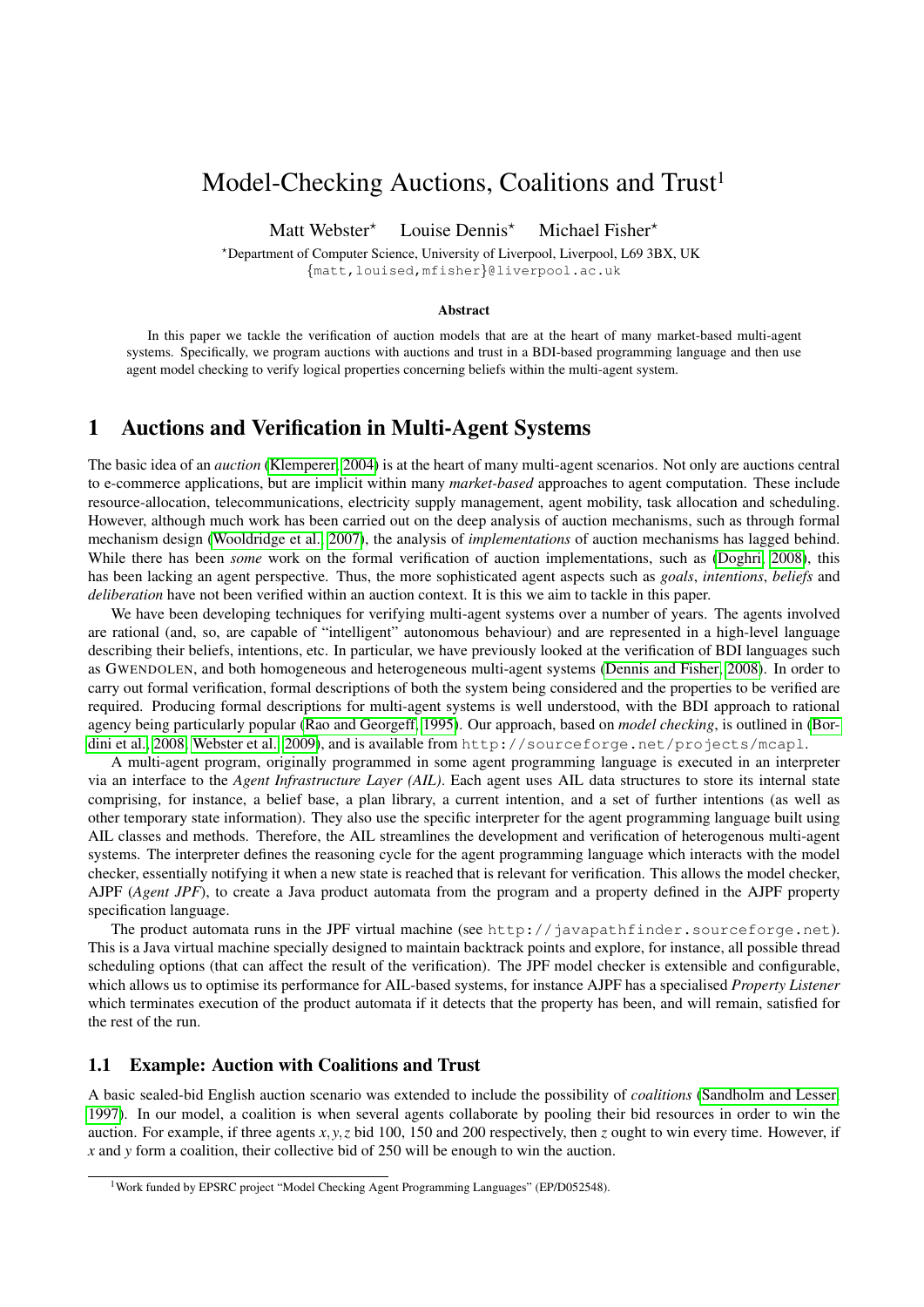# Model-Checking Auctions, Coalitions and Trust<sup>1</sup>

Matt Webster<sup>\*</sup> Louise Dennis<sup>\*</sup> Michael Fisher<sup>\*</sup>

?Department of Computer Science, University of Liverpool, Liverpool, L69 3BX, UK {matt,louised,mfisher}@liverpool.ac.uk

### Abstract

In this paper we tackle the verification of auction models that are at the heart of many market-based multi-agent systems. Specifically, we program auctions with auctions and trust in a BDI-based programming language and then use agent model checking to verify logical properties concerning beliefs within the multi-agent system.

# 1 Auctions and Verification in Multi-Agent Systems

The basic idea of an *auction* [\(Klemperer, 2004\)](#page-1-0) is at the heart of many multi-agent scenarios. Not only are auctions central to e-commerce applications, but are implicit within many *market-based* approaches to agent computation. These include resource-allocation, telecommunications, electricity supply management, agent mobility, task allocation and scheduling. However, although much work has been carried out on the deep analysis of auction mechanisms, such as through formal mechanism design [\(Wooldridge et al., 2007\)](#page-1-1), the analysis of *implementations* of auction mechanisms has lagged behind. While there has been *some* work on the formal verification of auction implementations, such as [\(Doghri, 2008\)](#page-1-2), this has been lacking an agent perspective. Thus, the more sophisticated agent aspects such as *goals*, *intentions*, *beliefs* and *deliberation* have not been verified within an auction context. It is this we aim to tackle in this paper.

We have been developing techniques for verifying multi-agent systems over a number of years. The agents involved are rational (and, so, are capable of "intelligent" autonomous behaviour) and are represented in a high-level language describing their beliefs, intentions, etc. In particular, we have previously looked at the verification of BDI languages such as GWENDOLEN, and both homogeneous and heterogeneous multi-agent systems [\(Dennis and Fisher, 2008\)](#page-1-3). In order to carry out formal verification, formal descriptions of both the system being considered and the properties to be verified are required. Producing formal descriptions for multi-agent systems is well understood, with the BDI approach to rational agency being particularly popular [\(Rao and Georgeff, 1995\)](#page-1-4). Our approach, based on *model checking*, is outlined in [\(Bor](#page-1-5)[dini et al., 2008;](#page-1-5) [Webster et al., 2009\)](#page-1-6), and is available from http://sourceforge.net/projects/mcapl.

A multi-agent program, originally programmed in some agent programming language is executed in an interpreter via an interface to the *Agent Infrastructure Layer (AIL)*. Each agent uses AIL data structures to store its internal state comprising, for instance, a belief base, a plan library, a current intention, and a set of further intentions (as well as other temporary state information). They also use the specific interpreter for the agent programming language built using AIL classes and methods. Therefore, the AIL streamlines the development and verification of heterogenous multi-agent systems. The interpreter defines the reasoning cycle for the agent programming language which interacts with the model checker, essentially notifying it when a new state is reached that is relevant for verification. This allows the model checker, AJPF (*Agent JPF*), to create a Java product automata from the program and a property defined in the AJPF property specification language.

The product automata runs in the JPF virtual machine (see http://javapathfinder.sourceforge.net). This is a Java virtual machine specially designed to maintain backtrack points and explore, for instance, all possible thread scheduling options (that can affect the result of the verification). The JPF model checker is extensible and configurable, which allows us to optimise its performance for AIL-based systems, for instance AJPF has a specialised *Property Listener* which terminates execution of the product automata if it detects that the property has been, and will remain, satisfied for the rest of the run.

## 1.1 Example: Auction with Coalitions and Trust

A basic sealed-bid English auction scenario was extended to include the possibility of *coalitions* [\(Sandholm and Lesser,](#page-1-7) [1997\)](#page-1-7). In our model, a coalition is when several agents collaborate by pooling their bid resources in order to win the auction. For example, if three agents *x*, *y*,*z* bid 100, 150 and 200 respectively, then *z* ought to win every time. However, if *x* and *y* form a coalition, their collective bid of 250 will be enough to win the auction.

<sup>&</sup>lt;sup>1</sup>Work funded by EPSRC project "Model Checking Agent Programming Languages" (EP/D052548).